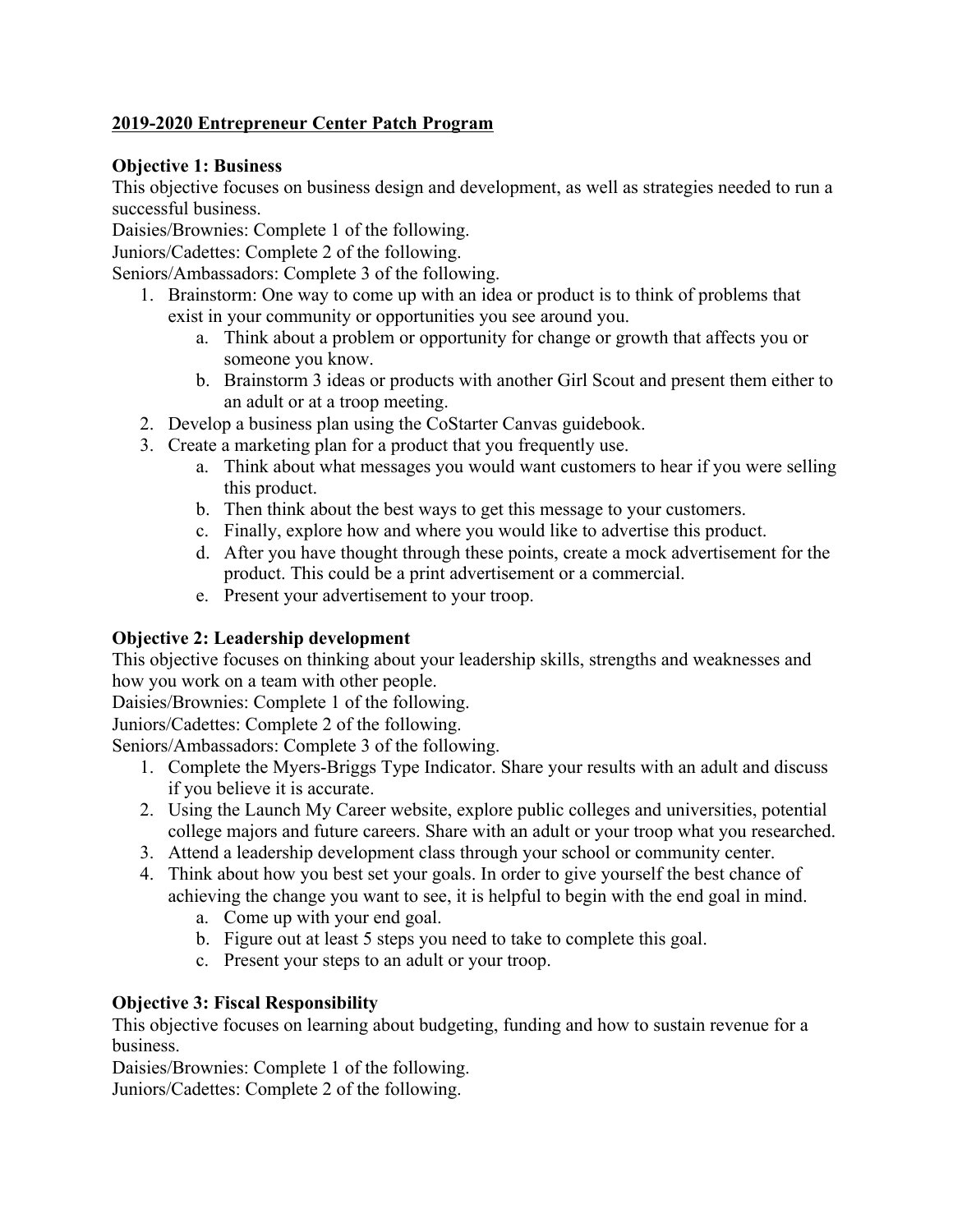# **2019-2020 Entrepreneur Center Patch Program**

### **Objective 1: Business**

This objective focuses on business design and development, as well as strategies needed to run a successful business.

Daisies/Brownies: Complete 1 of the following.

Juniors/Cadettes: Complete 2 of the following.

Seniors/Ambassadors: Complete 3 of the following.

- 1. Brainstorm: One way to come up with an idea or product is to think of problems that exist in your community or opportunities you see around you.
	- a. Think about a problem or opportunity for change or growth that affects you or someone you know.
	- b. Brainstorm 3 ideas or products with another Girl Scout and present them either to an adult or at a troop meeting.
- 2. Develop a business plan using the CoStarter Canvas guidebook.
- 3. Create a marketing plan for a product that you frequently use.
	- a. Think about what messages you would want customers to hear if you were selling this product.
	- b. Then think about the best ways to get this message to your customers.
	- c. Finally, explore how and where you would like to advertise this product.
	- d. After you have thought through these points, create a mock advertisement for the product. This could be a print advertisement or a commercial.
	- e. Present your advertisement to your troop.

# **Objective 2: Leadership development**

This objective focuses on thinking about your leadership skills, strengths and weaknesses and how you work on a team with other people.

Daisies/Brownies: Complete 1 of the following.

Juniors/Cadettes: Complete 2 of the following.

Seniors/Ambassadors: Complete 3 of the following.

- 1. Complete the Myers-Briggs Type Indicator. Share your results with an adult and discuss if you believe it is accurate.
- 2. Using the Launch My Career website, explore public colleges and universities, potential college majors and future careers. Share with an adult or your troop what you researched.
- 3. Attend a leadership development class through your school or community center.
- 4. Think about how you best set your goals. In order to give yourself the best chance of achieving the change you want to see, it is helpful to begin with the end goal in mind.
	- a. Come up with your end goal.
	- b. Figure out at least 5 steps you need to take to complete this goal.
	- c. Present your steps to an adult or your troop.

# **Objective 3: Fiscal Responsibility**

This objective focuses on learning about budgeting, funding and how to sustain revenue for a business.

Daisies/Brownies: Complete 1 of the following.

Juniors/Cadettes: Complete 2 of the following.